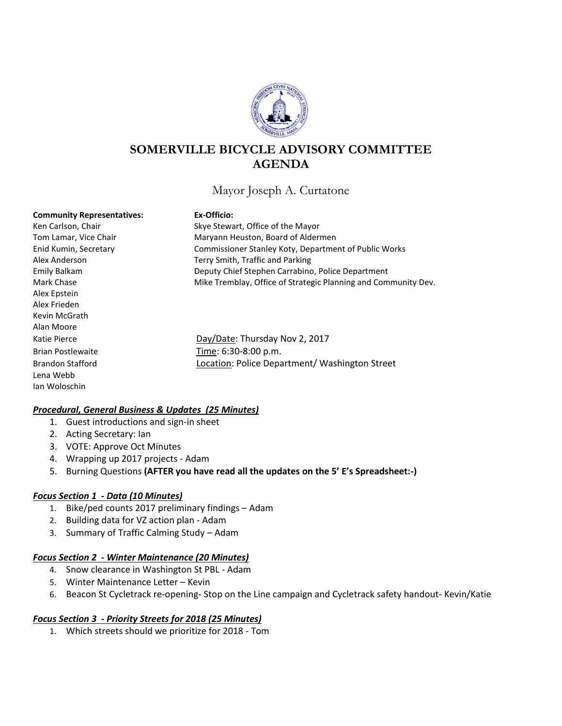

# **SOMERVILLE BICYCLE ADVISORY COMMITTEE AGENDA**

## Mayor Joseph A. Curtatone

#### **Community Representatives: Ex-Officio:**

Alex Epstein Alex Frieden Kevin McGrath Alan Moore Lena Webb Ian Woloschin

Ken Carlson, Chair Skye Stewart, Office of the Mayor Tom Lamar, Vice Chair **Maryann Heuston, Board of Aldermen** Enid Kumin, Secretary Commissioner Stanley Koty, Department of Public Works Alex Anderson Terry Smith, Traffic and Parking Emily Balkam Deputy Chief Stephen Carrabino, Police Department Mark Chase **Mike Tremblay, Office of Strategic Planning and Community Dev.** 

Katie Pierce **Day/Date: Thursday Nov 2, 2017** Brian Postlewaite Time: 6:30-8:00 p.m. Brandon Stafford Location: Police Department/ Washington Street

#### *Procedural, General Business & Updates (25 Minutes)*

- 1. Guest introductions and sign-in sheet
- 2. Acting Secretary: Ian
- 3. VOTE: Approve Oct Minutes
- 4. Wrapping up 2017 projects Adam
- 5. Burning Questions **(AFTER you have read all the updates on the 5' E's Spreadsheet:-)**

#### *Focus Section 1 - Data (10 Minutes)*

- 1. Bike/ped counts 2017 preliminary findings Adam
- 2. Building data for VZ action plan Adam
- 3. Summary of Traffic Calming Study Adam

#### *Focus Section 2 - Winter Maintenance (20 Minutes)*

- 4. Snow clearance in Washington St PBL Adam
- 5. Winter Maintenance Letter Kevin
- 6. Beacon St Cycletrack re-opening- Stop on the Line campaign and Cycletrack safety handout- Kevin/Katie

#### *Focus Section 3 - Priority Streets for 2018 (25 Minutes)*

1. Which streets should we prioritize for 2018 - Tom